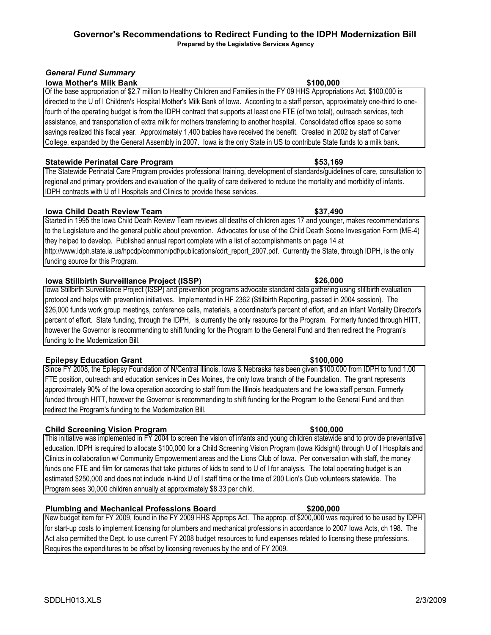### **Governor's Recommendations to Redirect Funding to the IDPH Modernization Bill Prepared by the Legislative Services Agency**

*General Fund Summary*

# **Iowa Mother's Milk Bank \$100,000**

### Of the base appropriation of \$2.7 million to Healthy Children and Families in the FY 09 HHS Appropriations Act, \$100,000 is directed to the U of I Children's Hospital Mother's Milk Bank of Iowa. According to a staff person, approximately one-third to onefourth of the operating budget is from the IDPH contract that supports at least one FTE (of two total), outreach services, tech assistance, and transportation of extra milk for mothers transferring to another hospital. Consolidated office space so some savings realized this fiscal year. Approximately 1,400 babies have received the benefit. Created in 2002 by staff of Carver College, expanded by the General Assembly in 2007. Iowa is the only State in US to contribute State funds to a milk bank.

## **Statewide Perinatal Care Program**

The Statewide Perinatal Care Program provides professional training, development of standards/guidelines of care, consultation to regional and primary providers and evaluation of the quality of care delivered to reduce the mortality and morbidity of infants. IDPH contracts with U of I Hospitals and Clinics to provide these services.

## **Iowa Child Death Review Team**

Started in 1995 the Iowa Child Death Review Team reviews all deaths of children ages 17 and younger, makes recommendations to the Legislature and the general public about prevention. Advocates for use of the Child Death Scene Invesigation Form (ME-4) they helped to develop. Published annual report complete with a list of accomplishments on page 14 at http://www.idph.state.ia.us/hpcdp/common/pdf/publications/cdrt\_report\_2007.pdf. Currently the State, through IDPH, is the only funding source for this Program.

## **Iowa Stillbirth Surveillance Project (ISSP)**

Iowa Stillbirth Surveillance Project (ISSP) and prevention programs advocate standard data gathering using stillbirth evaluation protocol and helps with prevention initiatives. Implemented in HF 2362 (Stillbirth Reporting, passed in 2004 session). The \$26,000 funds work group meetings, conference calls, materials, a coordinator's percent of effort, and an Infant Mortality Director's percent of effort. State funding, through the IDPH, is currently the only resource for the Program. Formerly funded through HITT, however the Governor is recommending to shift funding for the Program to the General Fund and then redirect the Program's funding to the Modernization Bill.

# **Epilepsy Education Grant**

Since FY 2008, the Epilepsy Foundation of N/Central Illinois, Iowa & Nebraska has been given \$100,000 from IDPH to fund 1.00 FTE position, outreach and education services in Des Moines, the only Iowa branch of the Foundation. The grant represents approximately 90% of the Iowa operation according to staff from the Illinois headquaters and the Iowa staff person. Formerly funded through HITT, however the Governor is recommending to shift funding for the Program to the General Fund and then redirect the Program's funding to the Modernization Bill.

# **Child Screening Vision Program**

This initiative was implemented in FY 2004 to screen the vision of infants and young children statewide and to provide preventative education. IDPH is required to allocate \$100,000 for a Child Screening Vision Program (Iowa Kidsight) through U of I Hospitals and Clinics in collaboration w/ Community Empowerment areas and the Lions Club of Iowa. Per conversation with staff, the money funds one FTE and film for cameras that take pictures of kids to send to U of I for analysis. The total operating budget is an estimated \$250,000 and does not include in-kind U of I staff time or the time of 200 Lion's Club volunteers statewide. The Program sees 30,000 children annually at approximately \$8.33 per child.

# **Plumbing and Mechanical Professions Board \$200,000**

New budget item for FY 2009, found in the FY 2009 HHS Approps Act. The approp. of \$200,000 was required to be used by IDPH for start-up costs to implement licensing for plumbers and mechanical professions in accordance to 2007 Iowa Acts, ch 198. The Act also permitted the Dept. to use current FY 2008 budget resources to fund expenses related to licensing these professions. Requires the expenditures to be offset by licensing revenues by the end of FY 2009.

**\$100,000** 

# **\$37,490**

**\$26,000** 

**\$53,169**

# **\$100,000**